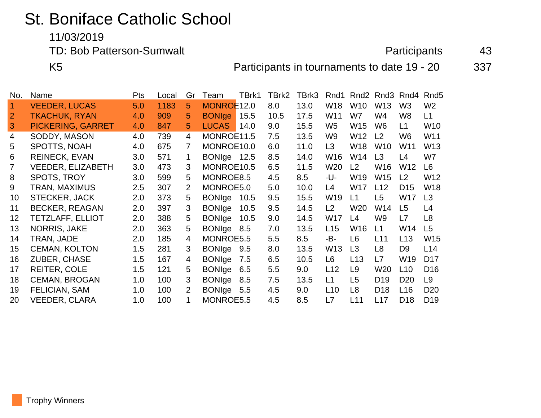## St. Boniface Catholic School

11/03/2019

TD: Bob Patterson-Sumwalt **Participants** 43

K5 **Participants in tournaments to date 19 - 20** 337

| No.       | Name                     | Pts | Local | Gr             | Team          | TBrk1 | TBrk2 | TBrk3 | Rnd1           | Rnd <sub>2</sub> | Rnd <sub>3</sub> | Rnd4            | Rnd <sub>5</sub> |
|-----------|--------------------------|-----|-------|----------------|---------------|-------|-------|-------|----------------|------------------|------------------|-----------------|------------------|
| $\vert$ 1 | <b>VEEDER, LUCAS</b>     | 5.0 | 1183  | 5.             | MONROE12.0    |       | 8.0   | 13.0  | W18            | W <sub>10</sub>  | W <sub>13</sub>  | W <sub>3</sub>  | W <sub>2</sub>   |
|           | <b>TKACHUK, RYAN</b>     | 4.0 | 909   | 5              | <b>BONIge</b> | 15.5  | 10.5  | 17.5  | W11            | W7               | W <sub>4</sub>   | W8              | L1               |
| 3         | <b>PICKERING, GARRET</b> | 4.0 | 847   | 5.             | <b>LUCAS</b>  | 14.0  | 9.0   | 15.5  | W <sub>5</sub> | W <sub>15</sub>  | W <sub>6</sub>   | L1              | W10              |
| 4         | SODDY, MASON             | 4.0 | 739   | 4              | MONROE11.5    |       | 7.5   | 13.5  | W9             | W12              | L <sub>2</sub>   | W <sub>6</sub>  | W11              |
| 5         | SPOTTS, NOAH             | 4.0 | 675   | 7              | MONROE10.0    |       | 6.0   | 11.0  | L3             | W18              | <b>W10</b>       | W11             | W13              |
| 6         | <b>REINECK, EVAN</b>     | 3.0 | 571   | 1.             | BONIge 12.5   |       | 8.5   | 14.0  | W16            | W14              | L3               | L4              | W7               |
| 7         | <b>VEEDER, ELIZABETH</b> | 3.0 | 473   | 3              | MONROE10.5    |       | 6.5   | 11.5  | W20            | L2               | W <sub>16</sub>  | W <sub>12</sub> | L <sub>6</sub>   |
| 8         | <b>SPOTS, TROY</b>       | 3.0 | 599   | 5.             | MONROE8.5     |       | 4.5   | 8.5   | -U-            | W <sub>19</sub>  | W15              | L2              | W12              |
| 9         | <b>TRAN, MAXIMUS</b>     | 2.5 | 307   | $\overline{2}$ | MONROE5.0     |       | 5.0   | 10.0  | L4             | <b>W17</b>       | L12              | D <sub>15</sub> | W18              |
| 10        | <b>STECKER, JACK</b>     | 2.0 | 373   | 5.             | <b>BONIge</b> | 10.5  | 9.5   | 15.5  | W19            | L1               | L <sub>5</sub>   | <b>W17</b>      | L3               |
| 11        | <b>BECKER, REAGAN</b>    | 2.0 | 397   | 3              | <b>BONIge</b> | 10.5  | 9.5   | 14.5  | L <sub>2</sub> | W <sub>20</sub>  | W14              | L <sub>5</sub>  | L4               |
| 12        | <b>TETZLAFF, ELLIOT</b>  | 2.0 | 388   | 5.             | <b>BONIge</b> | 10.5  | 9.0   | 14.5  | W17            | L4               | W <sub>9</sub>   | L7              | L8               |
| 13        | <b>NORRIS, JAKE</b>      | 2.0 | 363   | 5              | <b>BONIge</b> | 8.5   | 7.0   | 13.5  | L15            | W16              | L1               | W14             | L <sub>5</sub>   |
| 14        | TRAN, JADE               | 2.0 | 185   | 4              | MONROE5.5     |       | 5.5   | 8.5   | -B-            | L <sub>6</sub>   | L11              | L13             | W15              |
| 15        | <b>CEMAN, KOLTON</b>     | 1.5 | 281   | 3              | BONIge 9.5    |       | 8.0   | 13.5  | W13            | L3               | L <sub>8</sub>   | D <sub>9</sub>  | L14              |
| 16        | <b>ZUBER, CHASE</b>      | 1.5 | 167   | 4              | <b>BONIge</b> | 7.5   | 6.5   | 10.5  | L6             | L13              | L7               | W <sub>19</sub> | D <sub>17</sub>  |
| 17        | <b>REITER, COLE</b>      | 1.5 | 121   | 5.             | <b>BONIge</b> | 6.5   | 5.5   | 9.0   | L12            | L <sub>9</sub>   | W20              | L10             | D <sub>16</sub>  |
| 18        | <b>CEMAN, BROGAN</b>     | 1.0 | 100   | 3              | <b>BONIge</b> | 8.5   | 7.5   | 13.5  | L1             | L <sub>5</sub>   | D <sub>19</sub>  | D <sub>20</sub> | L <sub>9</sub>   |
| 19        | FELICIAN, SAM            | 1.0 | 100   | $\overline{2}$ | <b>BONIge</b> | 5.5   | 4.5   | 9.0   | L10            | L <sub>8</sub>   | D <sub>18</sub>  | L <sub>16</sub> | D <sub>20</sub>  |
| 20        | <b>VEEDER, CLARA</b>     | 1.0 | 100   | 1              | MONROE5.5     |       | 4.5   | 8.5   | L7             | L11              | L17              | D <sub>18</sub> | D <sub>19</sub>  |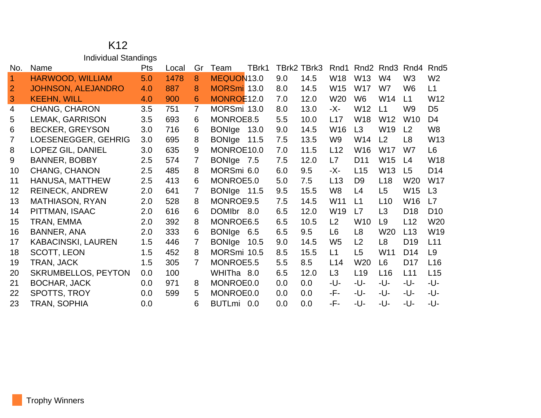## Individual Standings No. Name **Pts** Local Gr Team TBrk1 TBrk2 TBrk3 Rnd1 Rnd2 Rnd3 Rnd4 Rnd5 HARWOOD, WILLIAM 5.0 1478 8 MEQUON13.0 9.0 14.5 W18 W13 W4 W3 W2 JOHNSON, ALEJANDRO 4.0 887 8 MORSmi 13.0 8.0 14.5 W15 W17 W7 W6 L1 KEEHN, WILL 4.0 900 6 MONROE12.0 7.0 12.0 W20 W6 W14 L1 W12 CHANG, CHARON 3.5 751 7 MORSmi 13.0 8.0 13.0 -X- W12 L1 W9 D5 LEMAK, GARRISON 3.5 693 6 MONROE8.5 5.5 10.0 L17 W18 W12 W10 D4 BECKER, GREYSON 3.0 716 6 BONIge 13.0 9.0 14.5 W16 L3 W19 L2 W8 LOESENEGGER, GEHRIG 3.0 695 8 BONIge 11.5 7.5 13.5 W9 W14 L2 L8 W13 LOPEZ GIL, DANIEL 3.0 635 9 MONROE10.0 7.0 11.5 L12 W16 W17 W7 L6 BANNER, BOBBY 2.5 574 7 BONIge 7.5 7.5 12.0 L7 D11 W15 L4 W18 CHANG, CHANON 2.5 485 8 MORSmi 6.0 6.0 9.5 -X- L15 W13 L5 D14 HANUSA, MATTHEW 2.5 413 6 MONROE5.0 5.0 7.5 L13 D9 L18 W20 W17 REINECK, ANDREW 2.0 641 7 BONIge 11.5 9.5 15.5 W8 L4 L5 W15 L3 MATHIASON, RYAN 2.0 528 8 MONROE9.5 7.5 14.5 W11 L1 L10 W16 L7 PITTMAN, ISAAC 2.0 616 6 DOMIbr 8.0 6.5 12.0 W19 L7 L3 D18 D10 TRAN, EMMA 2.0 392 8 MONROE6.5 6.5 10.5 L2 W10 L9 L12 W20 BANNER, ANA 2.0 333 6 BONIge 6.5 6.5 9.5 L6 L8 W20 L13 W19 KABACINSKI, LAUREN 1.5 446 7 BONIge 10.5 9.0 14.5 W5 L2 L8 D19 L11 SCOTT, LEON 1.5 452 8 MORSmi 10.5 8.5 15.5 L1 L5 W11 D14 L9 TRAN, JACK 1.5 305 7 MONROE5.5 5.5 8.5 L14 W20 L6 D17 L16 SKRUMBELLOS, PEYTON 0.0 100 WHITha 8.0 6.5 12.0 L3 L19 L16 L11 L15 BOCHAR, JACK 0.0 971 8 MONROE0.0 0.0 0.0 -U- -U- -U- -U- -U- SPOTTS, TROY 0.0 599 5 MONROE0.0 0.0 0.0 -F- -U- -U- -U- -U-TRAN, SOPHIA 0.0 6 BUTLmi 0.0 0.0 0.0 -F- -U- -U- -U- -U-

K12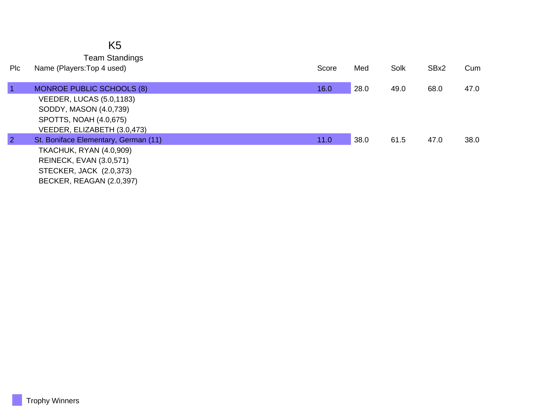|                | K <sub>5</sub>                                                                                              |       |      |      |      |      |
|----------------|-------------------------------------------------------------------------------------------------------------|-------|------|------|------|------|
| Plc            | <b>Team Standings</b><br>Name (Players: Top 4 used)                                                         | Score | Med  | Solk | SBx2 | Cum  |
| $\overline{1}$ | <b>MONROE PUBLIC SCHOOLS (8)</b>                                                                            | 16.0  | 28.0 | 49.0 | 68.0 | 47.0 |
|                | VEEDER, LUCAS (5.0,1183)<br>SODDY, MASON (4.0,739)<br>SPOTTS, NOAH (4.0,675)<br>VEEDER, ELIZABETH (3.0,473) |       |      |      |      |      |
| $\overline{2}$ | St. Boniface Elementary, German (11)                                                                        | 11.0  | 38.0 | 61.5 | 47.0 | 38.0 |
|                | <b>TKACHUK, RYAN (4.0,909)</b>                                                                              |       |      |      |      |      |
|                | <b>REINECK, EVAN (3.0,571)</b>                                                                              |       |      |      |      |      |
|                | STECKER, JACK (2.0,373)                                                                                     |       |      |      |      |      |
|                | BECKER, REAGAN (2.0,397)                                                                                    |       |      |      |      |      |